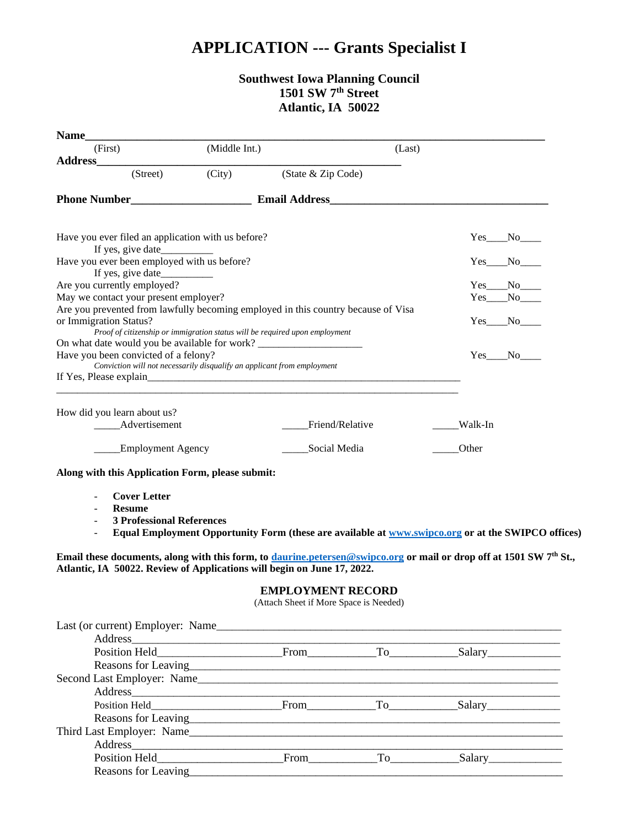## **APPLICATION --- Grants Specialist I**

## **Southwest Iowa Planning Council 1501 SW 7th Street Atlantic, IA 50022**

| (First)                                                                                                                                                                                                           | (Middle Int.) |                                                                             | (Last) |                                                                                                                                                                                                                                                                                                                                                                                                                                                                             |
|-------------------------------------------------------------------------------------------------------------------------------------------------------------------------------------------------------------------|---------------|-----------------------------------------------------------------------------|--------|-----------------------------------------------------------------------------------------------------------------------------------------------------------------------------------------------------------------------------------------------------------------------------------------------------------------------------------------------------------------------------------------------------------------------------------------------------------------------------|
| Address_                                                                                                                                                                                                          |               |                                                                             |        |                                                                                                                                                                                                                                                                                                                                                                                                                                                                             |
| (Street)                                                                                                                                                                                                          | (City)        | (State & Zip Code)                                                          |        |                                                                                                                                                                                                                                                                                                                                                                                                                                                                             |
|                                                                                                                                                                                                                   |               |                                                                             |        |                                                                                                                                                                                                                                                                                                                                                                                                                                                                             |
|                                                                                                                                                                                                                   |               |                                                                             |        |                                                                                                                                                                                                                                                                                                                                                                                                                                                                             |
| Have you ever filed an application with us before?                                                                                                                                                                |               |                                                                             |        | $Yes$ No $\_\_$                                                                                                                                                                                                                                                                                                                                                                                                                                                             |
| Have you ever been employed with us before?<br>If yes, give date                                                                                                                                                  |               |                                                                             |        | Yes No                                                                                                                                                                                                                                                                                                                                                                                                                                                                      |
| Are you currently employed?                                                                                                                                                                                       |               |                                                                             |        | $Yes$ No $\_\_$                                                                                                                                                                                                                                                                                                                                                                                                                                                             |
| May we contact your present employer?                                                                                                                                                                             |               |                                                                             |        | $Yes$ $No$                                                                                                                                                                                                                                                                                                                                                                                                                                                                  |
| Are you prevented from lawfully becoming employed in this country because of Visa<br>or Immigration Status?                                                                                                       |               |                                                                             |        | $Yes$ No                                                                                                                                                                                                                                                                                                                                                                                                                                                                    |
| On what date would you be available for work? __________________________________                                                                                                                                  |               | Proof of citizenship or immigration status will be required upon employment |        |                                                                                                                                                                                                                                                                                                                                                                                                                                                                             |
| Have you been convicted of a felony?                                                                                                                                                                              |               |                                                                             |        | $Yes$ No                                                                                                                                                                                                                                                                                                                                                                                                                                                                    |
| Conviction will not necessarily disqualify an applicant from employment                                                                                                                                           |               |                                                                             |        |                                                                                                                                                                                                                                                                                                                                                                                                                                                                             |
|                                                                                                                                                                                                                   |               |                                                                             |        |                                                                                                                                                                                                                                                                                                                                                                                                                                                                             |
|                                                                                                                                                                                                                   |               |                                                                             |        |                                                                                                                                                                                                                                                                                                                                                                                                                                                                             |
| How did you learn about us?                                                                                                                                                                                       |               |                                                                             |        |                                                                                                                                                                                                                                                                                                                                                                                                                                                                             |
| ____Advertisement                                                                                                                                                                                                 |               | Friend/Relative                                                             |        | Walk-In                                                                                                                                                                                                                                                                                                                                                                                                                                                                     |
| ____Employment Agency                                                                                                                                                                                             |               | _____Social Media                                                           |        | Other                                                                                                                                                                                                                                                                                                                                                                                                                                                                       |
|                                                                                                                                                                                                                   |               |                                                                             |        |                                                                                                                                                                                                                                                                                                                                                                                                                                                                             |
| Along with this Application Form, please submit:                                                                                                                                                                  |               |                                                                             |        |                                                                                                                                                                                                                                                                                                                                                                                                                                                                             |
| <b>Cover Letter</b><br>$\blacksquare$                                                                                                                                                                             |               |                                                                             |        |                                                                                                                                                                                                                                                                                                                                                                                                                                                                             |
| <b>Resume</b>                                                                                                                                                                                                     |               |                                                                             |        |                                                                                                                                                                                                                                                                                                                                                                                                                                                                             |
| <b>3 Professional References</b>                                                                                                                                                                                  |               |                                                                             |        |                                                                                                                                                                                                                                                                                                                                                                                                                                                                             |
|                                                                                                                                                                                                                   |               |                                                                             |        | Equal Employment Opportunity Form (these are available at www.swipco.org or at the SWIPCO offices)                                                                                                                                                                                                                                                                                                                                                                          |
|                                                                                                                                                                                                                   |               |                                                                             |        |                                                                                                                                                                                                                                                                                                                                                                                                                                                                             |
| Email these documents, along with this form, to <i>daurine.petersen@swipco.org</i> or mail or drop off at 1501 SW 7 <sup>th</sup> St.,<br>Atlantic, IA 50022. Review of Applications will begin on June 17, 2022. |               |                                                                             |        |                                                                                                                                                                                                                                                                                                                                                                                                                                                                             |
|                                                                                                                                                                                                                   |               | <b>EMPLOYMENT RECORD</b><br>(Attach Sheet if More Space is Needed)          |        |                                                                                                                                                                                                                                                                                                                                                                                                                                                                             |
|                                                                                                                                                                                                                   |               |                                                                             |        |                                                                                                                                                                                                                                                                                                                                                                                                                                                                             |
|                                                                                                                                                                                                                   |               |                                                                             |        |                                                                                                                                                                                                                                                                                                                                                                                                                                                                             |
|                                                                                                                                                                                                                   |               |                                                                             |        |                                                                                                                                                                                                                                                                                                                                                                                                                                                                             |
|                                                                                                                                                                                                                   |               |                                                                             |        |                                                                                                                                                                                                                                                                                                                                                                                                                                                                             |
|                                                                                                                                                                                                                   |               |                                                                             |        |                                                                                                                                                                                                                                                                                                                                                                                                                                                                             |
|                                                                                                                                                                                                                   |               |                                                                             |        |                                                                                                                                                                                                                                                                                                                                                                                                                                                                             |
|                                                                                                                                                                                                                   |               |                                                                             |        |                                                                                                                                                                                                                                                                                                                                                                                                                                                                             |
|                                                                                                                                                                                                                   |               |                                                                             |        |                                                                                                                                                                                                                                                                                                                                                                                                                                                                             |
|                                                                                                                                                                                                                   |               |                                                                             |        |                                                                                                                                                                                                                                                                                                                                                                                                                                                                             |
|                                                                                                                                                                                                                   |               |                                                                             |        |                                                                                                                                                                                                                                                                                                                                                                                                                                                                             |
|                                                                                                                                                                                                                   |               |                                                                             |        | $Address$ $\overline{\phantom{a}}$ $\overline{\phantom{a}}$ $\overline{\phantom{a}}$ $\overline{\phantom{a}}$ $\overline{\phantom{a}}$ $\overline{\phantom{a}}$ $\overline{\phantom{a}}$ $\overline{\phantom{a}}$ $\overline{\phantom{a}}$ $\overline{\phantom{a}}$ $\overline{\phantom{a}}$ $\overline{\phantom{a}}$ $\overline{\phantom{a}}$ $\overline{\phantom{a}}$ $\overline{\phantom{a}}$ $\overline{\phantom{a}}$ $\overline{\phantom{a}}$ $\overline{\phantom{a}}$ |